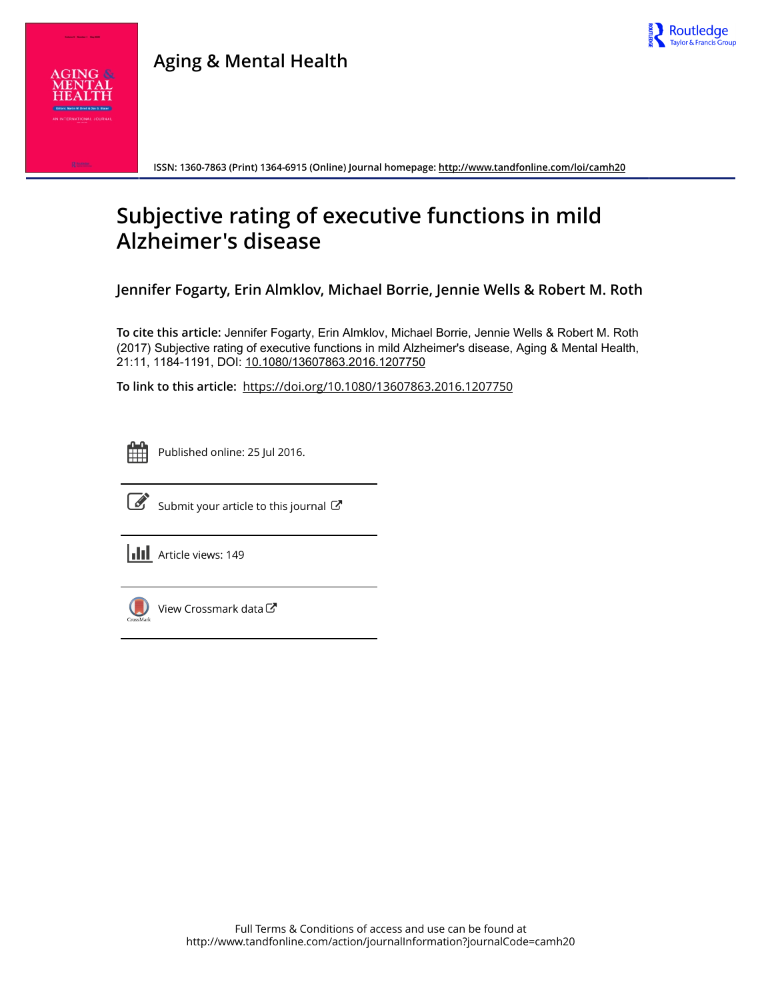

# **Aging & Mental Health**



**ISSN: 1360-7863 (Print) 1364-6915 (Online) Journal homepage:<http://www.tandfonline.com/loi/camh20>**

# **Subjective rating of executive functions in mild Alzheimer's disease**

**Jennifer Fogarty, Erin Almklov, Michael Borrie, Jennie Wells & Robert M. Roth**

**To cite this article:** Jennifer Fogarty, Erin Almklov, Michael Borrie, Jennie Wells & Robert M. Roth (2017) Subjective rating of executive functions in mild Alzheimer's disease, Aging & Mental Health, 21:11, 1184-1191, DOI: [10.1080/13607863.2016.1207750](http://www.tandfonline.com/action/showCitFormats?doi=10.1080/13607863.2016.1207750)

**To link to this article:** <https://doi.org/10.1080/13607863.2016.1207750>

|  | - |  |
|--|---|--|
|  |   |  |
|  |   |  |
|  |   |  |

Published online: 25 Jul 2016.



 $\overrightarrow{S}$  [Submit your article to this journal](http://www.tandfonline.com/action/authorSubmission?journalCode=camh20&show=instructions)  $\overrightarrow{S}$ 

**III** Article views: 149



[View Crossmark data](http://crossmark.crossref.org/dialog/?doi=10.1080/13607863.2016.1207750&domain=pdf&date_stamp=2016-07-25)<sup>C</sup>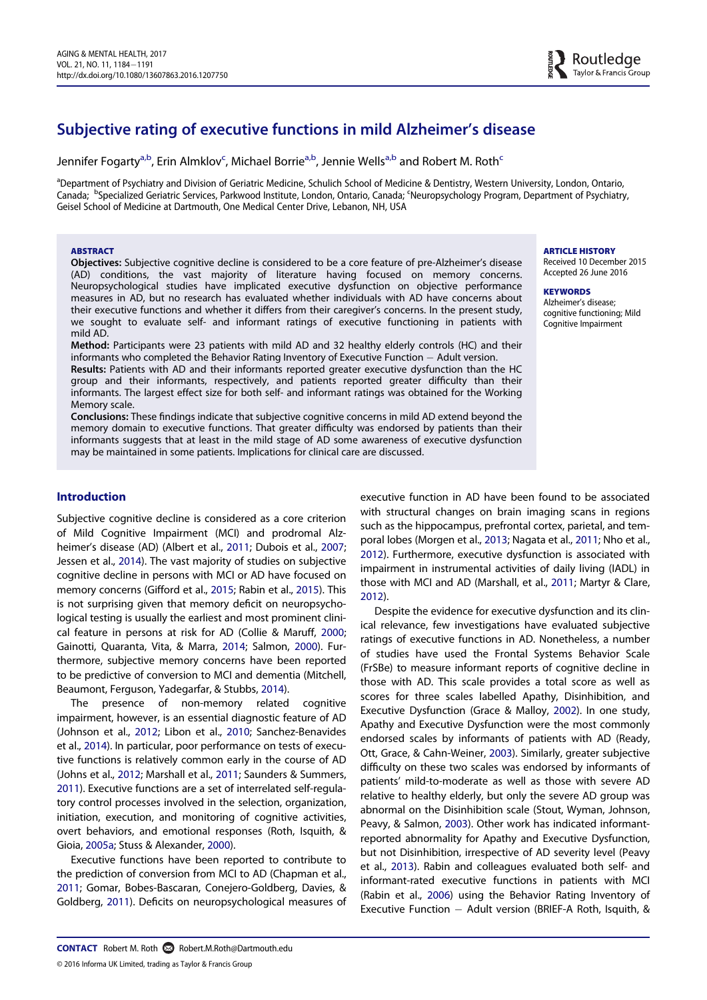# Subjective rating of executive functions in mild Alzheimer's disease

Jennifer Fog[a](#page-1-0)rty<sup>a[,b](#page-1-1)</sup>, Erin Almklov<sup>[c](#page-1-1)</sup>, Michael Borrie<sup>a,b</sup>, Jennie Wells<sup>a,b</sup> and Robert M. Roth<sup>c</sup>

<span id="page-1-1"></span><span id="page-1-0"></span>a<br>Department of Psychiatry and Division of Geriatric Medicine, Schulich School of Medicine & Dentistry, Western University, London, Ontario, Canada; <sup>b</sup>Specialized Geriatric Services, Parkwood Institute, London, Ontario, Canada; <sup>c</sup>Neuropsychology Program, Department of Psychiatry, Geisel School of Medicine at Dartmouth, One Medical Center Drive, Lebanon, NH, USA

#### **ABSTRACT**

Objectives: Subjective cognitive decline is considered to be a core feature of pre-Alzheimer's disease (AD) conditions, the vast majority of literature having focused on memory concerns. Neuropsychological studies have implicated executive dysfunction on objective performance measures in AD, but no research has evaluated whether individuals with AD have concerns about their executive functions and whether it differs from their caregiver's concerns. In the present study, we sought to evaluate self- and informant ratings of executive functioning in patients with mild AD.

Method: Participants were 23 patients with mild AD and 32 healthy elderly controls (HC) and their informants who completed the Behavior Rating Inventory of Executive Function - Adult version.

Results: Patients with AD and their informants reported greater executive dysfunction than the HC group and their informants, respectively, and patients reported greater difficulty than their informants. The largest effect size for both self- and informant ratings was obtained for the Working Memory scale.

Conclusions: These findings indicate that subjective cognitive concerns in mild AD extend beyond the memory domain to executive functions. That greater difficulty was endorsed by patients than their informants suggests that at least in the mild stage of AD some awareness of executive dysfunction may be maintained in some patients. Implications for clinical care are discussed.

## Introduction

<span id="page-1-14"></span><span id="page-1-12"></span><span id="page-1-9"></span><span id="page-1-6"></span><span id="page-1-2"></span>Subjective cognitive decline is considered as a core criterion of Mild Cognitive Impairment (MCI) and prodromal Alzheimer's disease (AD) (Albert et al., [2011](#page-6-0); Dubois et al., [2007;](#page-6-1) Jessen et al., [2014](#page-7-0)). The vast majority of studies on subjective cognitive decline in persons with MCI or AD have focused on memory concerns (Gifford et al., [2015;](#page-6-2) Rabin et al., [2015\)](#page-7-1). This is not surprising given that memory deficit on neuropsychological testing is usually the earliest and most prominent clinical feature in persons at risk for AD (Collie & Maruff, [2000;](#page-6-3) Gainotti, Quaranta, Vita, & Marra, [2014;](#page-6-4) Salmon, [2000](#page-7-2)). Furthermore, subjective memory concerns have been reported to be predictive of conversion to MCI and dementia (Mitchell, Beaumont, Ferguson, Yadegarfar, & Stubbs, [2014](#page-7-3)).

<span id="page-1-20"></span><span id="page-1-17"></span><span id="page-1-13"></span><span id="page-1-11"></span><span id="page-1-10"></span><span id="page-1-8"></span><span id="page-1-5"></span><span id="page-1-4"></span>The presence of non-memory related cognitive impairment, however, is an essential diagnostic feature of AD (Johnson et al., [2012;](#page-7-4) Libon et al., [2010](#page-7-5); Sanchez-Benavides et al., [2014](#page-7-6)). In particular, poor performance on tests of executive functions is relatively common early in the course of AD (Johns et al., [2012](#page-7-7); Marshall et al., [2011](#page-7-8); Saunders & Summers, [2011](#page-7-9)). Executive functions are a set of interrelated self-regulatory control processes involved in the selection, organization, initiation, execution, and monitoring of cognitive activities, overt behaviors, and emotional responses (Roth, Isquith, & Gioia, [2005a;](#page-7-10) Stuss & Alexander, [2000\)](#page-8-0).

<span id="page-1-21"></span><span id="page-1-19"></span><span id="page-1-18"></span><span id="page-1-16"></span><span id="page-1-15"></span><span id="page-1-7"></span><span id="page-1-3"></span>Executive functions have been reported to contribute to the prediction of conversion from MCI to AD (Chapman et al., [2011](#page-6-5); Gomar, Bobes-Bascaran, Conejero-Goldberg, Davies, & Goldberg, [2011](#page-6-6)). Deficits on neuropsychological measures of executive function in AD have been found to be associated with structural changes on brain imaging scans in regions such as the hippocampus, prefrontal cortex, parietal, and temporal lobes (Morgen et al., [2013](#page-7-11); Nagata et al., [2011;](#page-7-12) Nho et al., [2012\)](#page-7-13). Furthermore, executive dysfunction is associated with impairment in instrumental activities of daily living (IADL) in those with MCI and AD (Marshall, et al., [2011;](#page-7-8) Martyr & Clare, [2012\)](#page-7-14).

Despite the evidence for executive dysfunction and its clinical relevance, few investigations have evaluated subjective ratings of executive functions in AD. Nonetheless, a number of studies have used the Frontal Systems Behavior Scale (FrSBe) to measure informant reports of cognitive decline in those with AD. This scale provides a total score as well as scores for three scales labelled Apathy, Disinhibition, and Executive Dysfunction (Grace & Malloy, [2002\)](#page-6-7). In one study, Apathy and Executive Dysfunction were the most commonly endorsed scales by informants of patients with AD (Ready, Ott, Grace, & Cahn-Weiner, [2003](#page-7-15)). Similarly, greater subjective difficulty on these two scales was endorsed by informants of patients' mild-to-moderate as well as those with severe AD relative to healthy elderly, but only the severe AD group was abnormal on the Disinhibition scale (Stout, Wyman, Johnson, Peavy, & Salmon, [2003](#page-8-1)). Other work has indicated informantreported abnormality for Apathy and Executive Dysfunction, but not Disinhibition, irrespective of AD severity level (Peavy et al., [2013\)](#page-7-16). Rabin and colleagues evaluated both self- and informant-rated executive functions in patients with MCI (Rabin et al., [2006](#page-7-17)) using the Behavior Rating Inventory of Executive Function  $-$  Adult version (BRIEF-A Roth, Isquith, &

# ARTICLE HISTORY

Received 10 December 2015 Accepted 26 June 2016

#### **KEYWORDS**

Alzheimer's disease; cognitive functioning; Mild Cognitive Impairment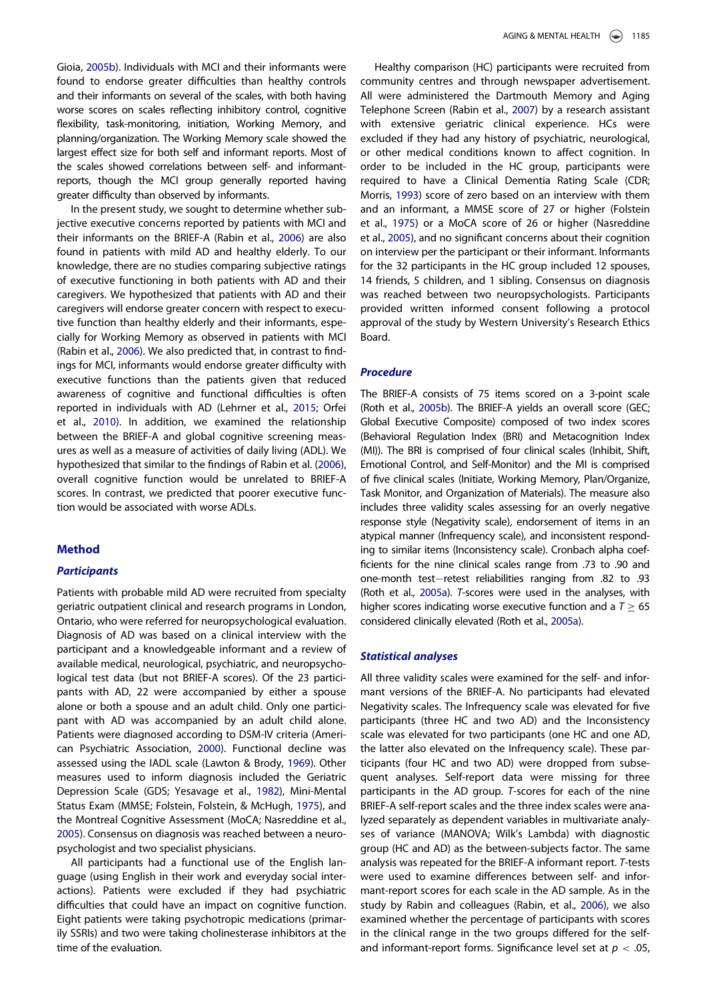<span id="page-2-7"></span>Gioia, [2005b](#page-7-18)). Individuals with MCI and their informants were found to endorse greater difficulties than healthy controls and their informants on several of the scales, with both having worse scores on scales reflecting inhibitory control, cognitive flexibility, task-monitoring, initiation, Working Memory, and planning/organization. The Working Memory scale showed the largest effect size for both self and informant reports. Most of the scales showed correlations between self- and informantreports, though the MCI group generally reported having greater difficulty than observed by informants.

<span id="page-2-5"></span><span id="page-2-4"></span><span id="page-2-1"></span>In the present study, we sought to determine whether subjective executive concerns reported by patients with MCI and their informants on the BRIEF-A (Rabin et al., [2006\)](#page-7-17) are also found in patients with mild AD and healthy elderly. To our knowledge, there are no studies comparing subjective ratings of executive functioning in both patients with AD and their caregivers. We hypothesized that patients with AD and their caregivers will endorse greater concern with respect to executive function than healthy elderly and their informants, especially for Working Memory as observed in patients with MCI (Rabin et al., [2006\)](#page-7-17). We also predicted that, in contrast to findings for MCI, informants would endorse greater difficulty with executive functions than the patients given that reduced awareness of cognitive and functional difficulties is often reported in individuals with AD (Lehrner et al., [2015](#page-7-19); Orfei et al., [2010\)](#page-7-20). In addition, we examined the relationship between the BRIEF-A and global cognitive screening measures as well as a measure of activities of daily living (ADL). We hypothesized that similar to the findings of Rabin et al. ([2006](#page-7-17)), overall cognitive function would be unrelated to BRIEF-A scores. In contrast, we predicted that poorer executive function would be associated with worse ADLs.

#### <span id="page-2-6"></span><span id="page-2-3"></span>Method

## **Participants**

Patients with probable mild AD were recruited from specialty geriatric outpatient clinical and research programs in London, Ontario, who were referred for neuropsychological evaluation. Diagnosis of AD was based on a clinical interview with the participant and a knowledgeable informant and a review of available medical, neurological, psychiatric, and neuropsychological test data (but not BRIEF-A scores). Of the 23 participants with AD, 22 were accompanied by either a spouse alone or both a spouse and an adult child. Only one participant with AD was accompanied by an adult child alone. Patients were diagnosed according to DSM-IV criteria (American Psychiatric Association, [2000\)](#page-6-8). Functional decline was assessed using the IADL scale (Lawton & Brody, [1969](#page-7-21)). Other measures used to inform diagnosis included the Geriatric Depression Scale (GDS; Yesavage et al., [1982](#page-8-2)), Mini-Mental Status Exam (MMSE; Folstein, Folstein, & McHugh, [1975](#page-6-9)), and the Montreal Cognitive Assessment (MoCA; Nasreddine et al., [2005](#page-7-22)). Consensus on diagnosis was reached between a neuropsychologist and two specialist physicians.

<span id="page-2-8"></span><span id="page-2-2"></span><span id="page-2-0"></span>All participants had a functional use of the English language (using English in their work and everyday social interactions). Patients were excluded if they had psychiatric difficulties that could have an impact on cognitive function. Eight patients were taking psychotropic medications (primarily SSRIs) and two were taking cholinesterase inhibitors at the time of the evaluation.

Healthy comparison (HC) participants were recruited from community centres and through newspaper advertisement. All were administered the Dartmouth Memory and Aging Telephone Screen (Rabin et al., [2007\)](#page-7-23) by a research assistant with extensive geriatric clinical experience. HCs were excluded if they had any history of psychiatric, neurological, or other medical conditions known to affect cognition. In order to be included in the HC group, participants were required to have a Clinical Dementia Rating Scale (CDR; Morris, [1993\)](#page-7-24) score of zero based on an interview with them and an informant, a MMSE score of 27 or higher (Folstein et al., [1975\)](#page-6-9) or a MoCA score of 26 or higher (Nasreddine et al., [2005\)](#page-7-22), and no significant concerns about their cognition on interview per the participant or their informant. Informants for the 32 participants in the HC group included 12 spouses, 14 friends, 5 children, and 1 sibling. Consensus on diagnosis was reached between two neuropsychologists. Participants provided written informed consent following a protocol approval of the study by Western University's Research Ethics Board.

#### Procedure

The BRIEF-A consists of 75 items scored on a 3-point scale (Roth et al., [2005b\)](#page-7-18). The BRIEF-A yields an overall score (GEC; Global Executive Composite) composed of two index scores (Behavioral Regulation Index (BRI) and Metacognition Index (MI)). The BRI is comprised of four clinical scales (Inhibit, Shift, Emotional Control, and Self-Monitor) and the MI is comprised of five clinical scales (Initiate, Working Memory, Plan/Organize, Task Monitor, and Organization of Materials). The measure also includes three validity scales assessing for an overly negative response style (Negativity scale), endorsement of items in an atypical manner (Infrequency scale), and inconsistent responding to similar items (Inconsistency scale). Cronbach alpha coefficients for the nine clinical scales range from .73 to .90 and one-month test-retest reliabilities ranging from .82 to .93 (Roth et al., [2005a\)](#page-7-10). T-scores were used in the analyses, with higher scores indicating worse executive function and a  $T > 65$ considered clinically elevated (Roth et al., [2005a](#page-7-10)).

#### Statistical analyses

All three validity scales were examined for the self- and informant versions of the BRIEF-A. No participants had elevated Negativity scales. The Infrequency scale was elevated for five participants (three HC and two AD) and the Inconsistency scale was elevated for two participants (one HC and one AD, the latter also elevated on the Infrequency scale). These participants (four HC and two AD) were dropped from subsequent analyses. Self-report data were missing for three participants in the AD group. T-scores for each of the nine BRIEF-A self-report scales and the three index scales were analyzed separately as dependent variables in multivariate analyses of variance (MANOVA; Wilk's Lambda) with diagnostic group (HC and AD) as the between-subjects factor. The same analysis was repeated for the BRIEF-A informant report. T-tests were used to examine differences between self- and informant-report scores for each scale in the AD sample. As in the study by Rabin and colleagues (Rabin, et al., [2006](#page-7-17)), we also examined whether the percentage of participants with scores in the clinical range in the two groups differed for the selfand informant-report forms. Significance level set at  $p < .05$ ,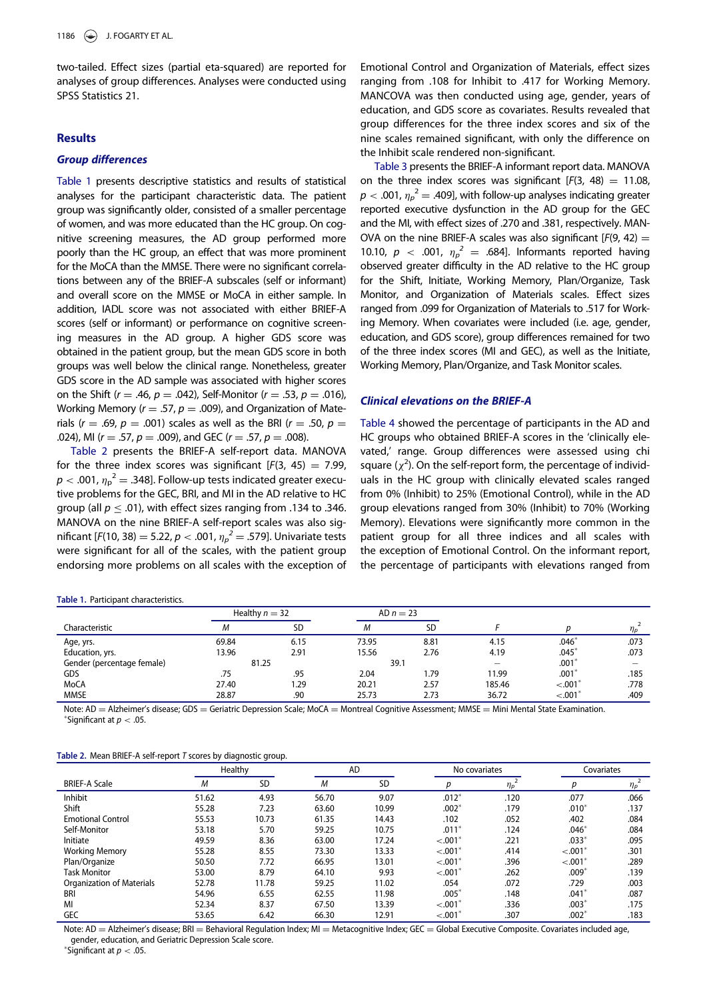two-tailed. Effect sizes (partial eta-squared) are reported for analyses of group differences. Analyses were conducted using SPSS Statistics 21.

# **Results**

#### Group differences

[Table 1](#page-3-0) presents descriptive statistics and results of statistical analyses for the participant characteristic data. The patient group was significantly older, consisted of a smaller percentage of women, and was more educated than the HC group. On cognitive screening measures, the AD group performed more poorly than the HC group, an effect that was more prominent for the MoCA than the MMSE. There were no significant correlations between any of the BRIEF-A subscales (self or informant) and overall score on the MMSE or MoCA in either sample. In addition, IADL score was not associated with either BRIEF-A scores (self or informant) or performance on cognitive screening measures in the AD group. A higher GDS score was obtained in the patient group, but the mean GDS score in both groups was well below the clinical range. Nonetheless, greater GDS score in the AD sample was associated with higher scores on the Shift ( $r = .46$ ,  $p = .042$ ), Self-Monitor ( $r = .53$ ,  $p = .016$ ), Working Memory ( $r = .57$ ,  $p = .009$ ), and Organization of Materials ( $r = .69$ ,  $p = .001$ ) scales as well as the BRI ( $r = .50$ ,  $p =$ .024), MI ( $r = .57$ ,  $p = .009$ ), and GEC ( $r = .57$ ,  $p = .008$ ).

[Table 2](#page-3-1) presents the BRIEF-A self-report data. MANOVA for the three index scores was significant  $[F(3, 45) = 7.99$ ,  $p < .001$ ,  ${\eta_{\text{p}}}^2 = .348$ ]. Follow-up tests indicated greater executive problems for the GEC, BRI, and MI in the AD relative to HC group (all  $p \leq .01$ ), with effect sizes ranging from .134 to .346. MANOVA on the nine BRIEF-A self-report scales was also significant [F(10, 38) = 5.22,  $p < .001$ ,  $\eta_p^2 = .579$ ]. Univariate tests were significant for all of the scales, with the patient group endorsing more problems on all scales with the exception of

#### Table 1. Participant characteristics.

Emotional Control and Organization of Materials, effect sizes ranging from .108 for Inhibit to .417 for Working Memory. MANCOVA was then conducted using age, gender, years of education, and GDS score as covariates. Results revealed that group differences for the three index scores and six of the nine scales remained significant, with only the difference on the Inhibit scale rendered non-significant.

[Table 3](#page-4-0) presents the BRIEF-A informant report data. MANOVA on the three index scores was significant  $[F(3, 48) = 11.08$ ,  $p < .001$ ,  $\eta_p^2 = .409$ ], with follow-up analyses indicating greater reported executive dysfunction in the AD group for the GEC and the MI, with effect sizes of .270 and .381, respectively. MAN-OVA on the nine BRIEF-A scales was also significant  $[F(9, 42) =$ 10.10,  $p < .001$ ,  $\eta_p^2 = .684$ ]. Informants reported having observed greater difficulty in the AD relative to the HC group for the Shift, Initiate, Working Memory, Plan/Organize, Task Monitor, and Organization of Materials scales. Effect sizes ranged from .099 for Organization of Materials to .517 for Working Memory. When covariates were included (i.e. age, gender, education, and GDS score), group differences remained for two of the three index scores (MI and GEC), as well as the Initiate, Working Memory, Plan/Organize, and Task Monitor scales.

#### Clinical elevations on the BRIEF-A

[Table 4](#page-4-1) showed the percentage of participants in the AD and HC groups who obtained BRIEF-A scores in the 'clinically elevated,' range. Group differences were assessed using chi square  $(\chi^2)$ . On the self-report form, the percentage of individuals in the HC group with clinically elevated scales ranged from 0% (Inhibit) to 25% (Emotional Control), while in the AD group elevations ranged from 30% (Inhibit) to 70% (Working Memory). Elevations were significantly more common in the patient group for all three indices and all scales with the exception of Emotional Control. On the informant report, the percentage of participants with elevations ranged from

|                            |       | Healthy $n = 32$ |       | AD $n = 23$ |        |                       |       |
|----------------------------|-------|------------------|-------|-------------|--------|-----------------------|-------|
| Characteristic             | М     | SD               | М     | SD          |        |                       | 1 I p |
| Age, yrs.                  | 69.84 | 6.15             | 73.95 | 8.81        | 4.15   | $.046*$               | .073  |
| Education, yrs.            | 13.96 | 2.91             | 15.56 | 2.76        | 4.19   | $.045*$               | .073  |
| Gender (percentage female) | 81.25 |                  | 39.1  |             |        | .001                  |       |
| <b>GDS</b>                 | .75   | .95              | 2.04  | 1.79        | 11.99  | .001                  | .185  |
| MoCA                       | 27.40 | 1.29             | 20.21 | 2.57        | 185.46 | $< .001$ <sup>*</sup> | .778  |
| <b>MMSE</b>                | 28.87 | .90              | 25.73 | 2.73        | 36.72  | $-.001$ <sup>*</sup>  | .409  |

<span id="page-3-0"></span>Note: AD = Alzheimer's disease; GDS = Geriatric Depression Scale; MoCA = Montreal Cognitive Assessment; MMSE = Mini Mental State Examination. Significant at  $p < .05$ .

|  | Table 2. Mean BRIEF-A self-report $T$ scores by diagnostic group. |  |  |  |
|--|-------------------------------------------------------------------|--|--|--|
|--|-------------------------------------------------------------------|--|--|--|

|                                  | Healthy |       | AD    |           | No covariates         |                 | Covariates             |          |
|----------------------------------|---------|-------|-------|-----------|-----------------------|-----------------|------------------------|----------|
| <b>BRIEF-A Scale</b>             | M       | SD    | M     | <b>SD</b> |                       | IJ <sub>n</sub> |                        | $\eta_p$ |
| Inhibit                          | 51.62   | 4.93  | 56.70 | 9.07      | $.012*$               | .120            | .077                   | .066     |
| Shift                            | 55.28   | 7.23  | 63.60 | 10.99     | $.002*$               | .179            | $.010^{*}$             | .137     |
| <b>Emotional Control</b>         | 55.53   | 10.73 | 61.35 | 14.43     | .102                  | .052            | .402                   | .084     |
| Self-Monitor                     | 53.18   | 5.70  | 59.25 | 10.75     | $.011*$               | .124            | $.046^*$               | .084     |
| Initiate                         | 49.59   | 8.36  | 63.00 | 17.24     | $< .001$ <sup>*</sup> | .221            | $.033*$                | .095     |
| <b>Working Memory</b>            | 55.28   | 8.55  | 73.30 | 13.33     | $< .001$ <sup>*</sup> | .414            | $< 0.001$ <sup>*</sup> | .301     |
| Plan/Organize                    | 50.50   | 7.72  | 66.95 | 13.01     | $-.001*$              | .396            | $-.001*$               | .289     |
| <b>Task Monitor</b>              | 53.00   | 8.79  | 64.10 | 9.93      | $-.001*$              | .262            | $.009^*$               | .139     |
| <b>Organization of Materials</b> | 52.78   | 11.78 | 59.25 | 11.02     | .054                  | .072            | .729                   | .003     |
| <b>BRI</b>                       | 54.96   | 6.55  | 62.55 | 11.98     | $.005*$               | .148            | $.041*$                | .087     |
| MI                               | 52.34   | 8.37  | 67.50 | 13.39     | < 0.001               | .336            | $.003*$                | .175     |
| <b>GEC</b>                       | 53.65   | 6.42  | 66.30 | 12.91     | $-.001*$              | .307            | $.002*$                | .183     |

<span id="page-3-1"></span>Note: AD = Alzheimer's disease; BRI = Behavioral Regulation Index; MI = Metacognitive Index; GEC = Global Executive Composite. Covariates included age, gender, education, and Geriatric Depression Scale score.

\*Significant at  $p < .05$ .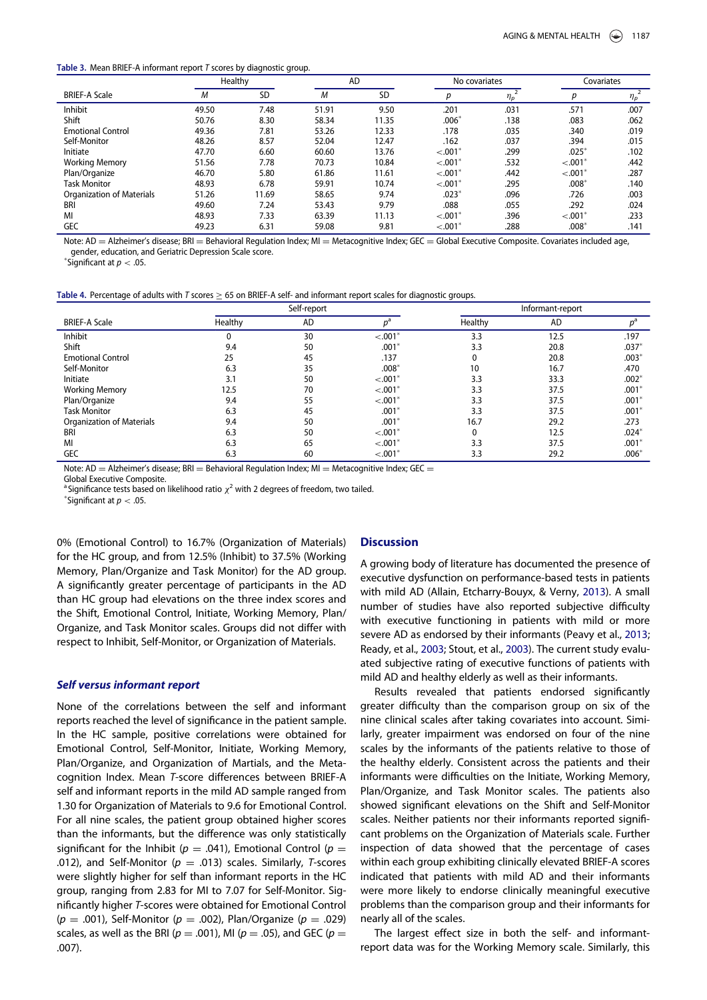Table 3. Mean BRIEF-A informant report T scores by diagnostic group.

|                                  | Healthy |           | AD    |       | No covariates          |       | Covariates             |          |
|----------------------------------|---------|-----------|-------|-------|------------------------|-------|------------------------|----------|
| <b>BRIEF-A Scale</b>             | M       | <b>SD</b> | M     | SD    |                        | I   р |                        | $\eta_p$ |
| Inhibit                          | 49.50   | 7.48      | 51.91 | 9.50  | .201                   | .031  | .571                   | .007     |
| Shift                            | 50.76   | 8.30      | 58.34 | 11.35 | $.006*$                | .138  | .083                   | .062     |
| <b>Emotional Control</b>         | 49.36   | 7.81      | 53.26 | 12.33 | .178                   | .035  | .340                   | .019     |
| Self-Monitor                     | 48.26   | 8.57      | 52.04 | 12.47 | .162                   | .037  | .394                   | .015     |
| Initiate                         | 47.70   | 6.60      | 60.60 | 13.76 | $< .001$ <sup>*</sup>  | .299  | $.025*$                | .102     |
| <b>Working Memory</b>            | 51.56   | 7.78      | 70.73 | 10.84 | $< .001$ <sup>*</sup>  | .532  | $< 0.001$ <sup>*</sup> | .442     |
| Plan/Organize                    | 46.70   | 5.80      | 61.86 | 11.61 | $< .001$ <sup>*</sup>  | .442  | $< 0.001$ <sup>*</sup> | .287     |
| <b>Task Monitor</b>              | 48.93   | 6.78      | 59.91 | 10.74 | $< .001$ <sup>*</sup>  | .295  | $.008*$                | .140     |
| <b>Organization of Materials</b> | 51.26   | 11.69     | 58.65 | 9.74  | $.023*$                | .096  | .726                   | .003     |
| <b>BRI</b>                       | 49.60   | 7.24      | 53.43 | 9.79  | .088                   | .055  | .292                   | .024     |
| MI                               | 48.93   | 7.33      | 63.39 | 11.13 | $< 0.001$ <sup>*</sup> | .396  | $< .001*$              | .233     |
| GEC                              | 49.23   | 6.31      | 59.08 | 9.81  | $< 0.001$ <sup>*</sup> | .288  | $.008*$                | .141     |

<span id="page-4-0"></span>Note: AD = Alzheimer's disease; BRI = Behavioral Regulation Index; MI = Metacognitive Index; GEC = Global Executive Composite. Covariates included age, gender, education, and Geriatric Depression Scale score.

\*Significant at  $p < .05$ .

Table 4. Percentage of adults with T scores  $\geq$  65 on BRIEF-A self- and informant report scales for diagnostic groups.

|                                  |         | Self-report |          |          | Informant-report |          |
|----------------------------------|---------|-------------|----------|----------|------------------|----------|
| <b>BRIEF-A Scale</b>             | Healthy | <b>AD</b>   |          | Healthy  | AD               |          |
| Inhibit                          |         | 30          | $-.001*$ | 3.3      | 12.5             | .197     |
| Shift                            | 9.4     | 50          | $.001*$  | 3.3      | 20.8             | $.037*$  |
| <b>Emotional Control</b>         | 25      | 45          | .137     | 0        | 20.8             | $.003*$  |
| Self-Monitor                     | 6.3     | 35          | $.008*$  | 10       | 16.7             | .470     |
| Initiate                         | 3.1     | 50          | $-.001*$ | 3.3      | 33.3             | $.002*$  |
| <b>Working Memory</b>            | 12.5    | 70          | $-.001*$ | 3.3      | 37.5             | $.001^*$ |
| Plan/Organize                    | 9.4     | 55          | $-.001*$ | 3.3      | 37.5             | .001     |
| <b>Task Monitor</b>              | 6.3     | 45          | $.001*$  | 3.3      | 37.5             | $.001*$  |
| <b>Organization of Materials</b> | 9.4     | 50          | $.001*$  | 16.7     | 29.2             | .273     |
| <b>BRI</b>                       | 6.3     | 50          | $-.001*$ | $\Omega$ | 12.5             | $.024*$  |
| MI                               | 6.3     | 65          | $-.001*$ | 3.3      | 37.5             | .001*    |
| GEC                              | 6.3     | 60          | $-.001*$ | 3.3      | 29.2             | $.006*$  |

Note:  $AD =$  Alzheimer's disease; BRI  $=$  Behavioral Regulation Index; MI  $=$  Metacognitive Index; GEC  $=$ 

Global Executive Composite.

<span id="page-4-1"></span><sup>a</sup> Significance tests based on likelihood ratio  $\chi^2$  with 2 degrees of freedom, two tailed.

\*Significant at  $p < .05$ .

<span id="page-4-2"></span>0% (Emotional Control) to 16.7% (Organization of Materials) for the HC group, and from 12.5% (Inhibit) to 37.5% (Working Memory, Plan/Organize and Task Monitor) for the AD group. A significantly greater percentage of participants in the AD than HC group had elevations on the three index scores and the Shift, Emotional Control, Initiate, Working Memory, Plan/ Organize, and Task Monitor scales. Groups did not differ with respect to Inhibit, Self-Monitor, or Organization of Materials.

#### Self versus informant report

None of the correlations between the self and informant reports reached the level of significance in the patient sample. In the HC sample, positive correlations were obtained for Emotional Control, Self-Monitor, Initiate, Working Memory, Plan/Organize, and Organization of Martials, and the Metacognition Index. Mean T-score differences between BRIEF-A self and informant reports in the mild AD sample ranged from 1.30 for Organization of Materials to 9.6 for Emotional Control. For all nine scales, the patient group obtained higher scores than the informants, but the difference was only statistically significant for the Inhibit ( $p = .041$ ), Emotional Control ( $p =$ .012), and Self-Monitor ( $p = .013$ ) scales. Similarly, T-scores were slightly higher for self than informant reports in the HC group, ranging from 2.83 for MI to 7.07 for Self-Monitor. Significantly higher T-scores were obtained for Emotional Control  $(p = .001)$ , Self-Monitor ( $p = .002$ ), Plan/Organize ( $p = .029$ ) scales, as well as the BRI ( $p = .001$ ), MI ( $p = .05$ ), and GEC ( $p =$ .007).

## **Discussion**

A growing body of literature has documented the presence of executive dysfunction on performance-based tests in patients with mild AD (Allain, Etcharry-Bouyx, & Verny, [2013](#page-6-10)). A small number of studies have also reported subjective difficulty with executive functioning in patients with mild or more severe AD as endorsed by their informants (Peavy et al., [2013;](#page-7-16) Ready, et al., [2003;](#page-7-15) Stout, et al., [2003](#page-8-1)). The current study evaluated subjective rating of executive functions of patients with mild AD and healthy elderly as well as their informants.

Results revealed that patients endorsed significantly greater difficulty than the comparison group on six of the nine clinical scales after taking covariates into account. Similarly, greater impairment was endorsed on four of the nine scales by the informants of the patients relative to those of the healthy elderly. Consistent across the patients and their informants were difficulties on the Initiate, Working Memory, Plan/Organize, and Task Monitor scales. The patients also showed significant elevations on the Shift and Self-Monitor scales. Neither patients nor their informants reported significant problems on the Organization of Materials scale. Further inspection of data showed that the percentage of cases within each group exhibiting clinically elevated BRIEF-A scores indicated that patients with mild AD and their informants were more likely to endorse clinically meaningful executive problems than the comparison group and their informants for nearly all of the scales.

The largest effect size in both the self- and informantreport data was for the Working Memory scale. Similarly, this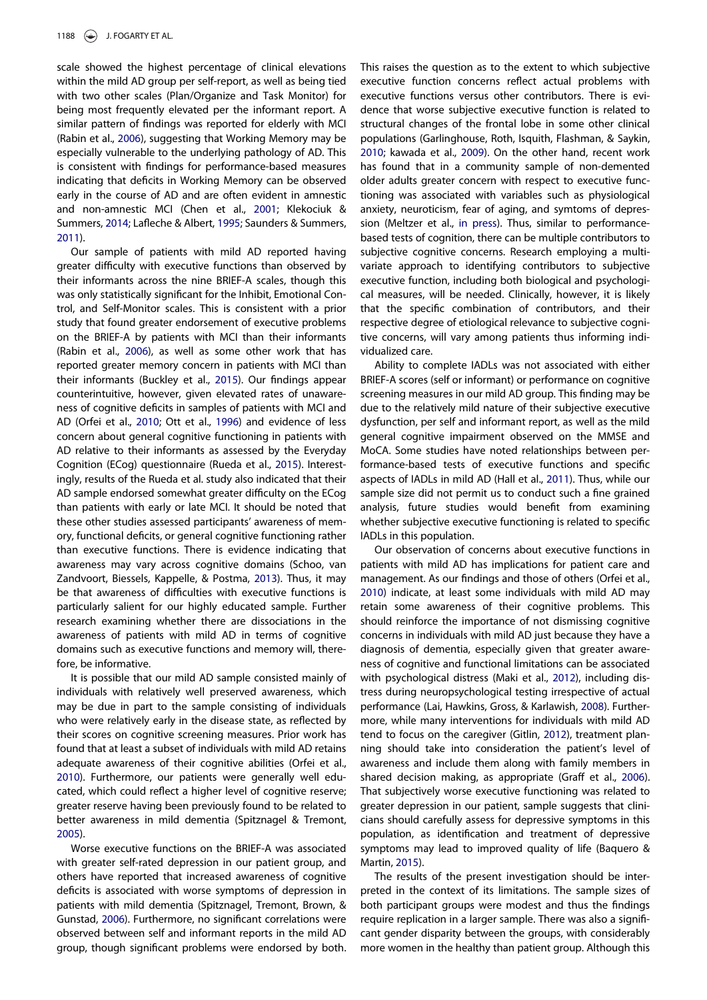<span id="page-5-7"></span><span id="page-5-3"></span>scale showed the highest percentage of clinical elevations within the mild AD group per self-report, as well as being tied with two other scales (Plan/Organize and Task Monitor) for being most frequently elevated per the informant report. A similar pattern of findings was reported for elderly with MCI (Rabin et al., [2006](#page-7-17)), suggesting that Working Memory may be especially vulnerable to the underlying pathology of AD. This is consistent with findings for performance-based measures indicating that deficits in Working Memory can be observed early in the course of AD and are often evident in amnestic and non-amnestic MCI (Chen et al., [2001](#page-6-11); Klekociuk & Summers, [2014](#page-7-25); Lafleche & Albert, [1995](#page-7-26); Saunders & Summers, [2011](#page-7-9)).

<span id="page-5-13"></span><span id="page-5-12"></span><span id="page-5-11"></span><span id="page-5-8"></span><span id="page-5-2"></span><span id="page-5-1"></span>Our sample of patients with mild AD reported having greater difficulty with executive functions than observed by their informants across the nine BRIEF-A scales, though this was only statistically significant for the Inhibit, Emotional Control, and Self-Monitor scales. This is consistent with a prior study that found greater endorsement of executive problems on the BRIEF-A by patients with MCI than their informants (Rabin et al., [2006\)](#page-7-17), as well as some other work that has reported greater memory concern in patients with MCI than their informants (Buckley et al., [2015](#page-6-12)). Our findings appear counterintuitive, however, given elevated rates of unawareness of cognitive deficits in samples of patients with MCI and AD (Orfei et al., [2010](#page-7-20); Ott et al., [1996](#page-7-27)) and evidence of less concern about general cognitive functioning in patients with AD relative to their informants as assessed by the Everyday Cognition (ECog) questionnaire (Rueda et al., [2015](#page-7-28)). Interestingly, results of the Rueda et al. study also indicated that their AD sample endorsed somewhat greater difficulty on the ECog than patients with early or late MCI. It should be noted that these other studies assessed participants' awareness of memory, functional deficits, or general cognitive functioning rather than executive functions. There is evidence indicating that awareness may vary across cognitive domains (Schoo, van Zandvoort, Biessels, Kappelle, & Postma, [2013](#page-7-29)). Thus, it may be that awareness of difficulties with executive functions is particularly salient for our highly educated sample. Further research examining whether there are dissociations in the awareness of patients with mild AD in terms of cognitive domains such as executive functions and memory will, therefore, be informative.

<span id="page-5-14"></span><span id="page-5-10"></span><span id="page-5-9"></span><span id="page-5-6"></span><span id="page-5-4"></span>It is possible that our mild AD sample consisted mainly of individuals with relatively well preserved awareness, which may be due in part to the sample consisting of individuals who were relatively early in the disease state, as reflected by their scores on cognitive screening measures. Prior work has found that at least a subset of individuals with mild AD retains adequate awareness of their cognitive abilities (Orfei et al., [2010](#page-7-20)). Furthermore, our patients were generally well educated, which could reflect a higher level of cognitive reserve; greater reserve having been previously found to be related to better awareness in mild dementia (Spitznagel & Tremont, [2005](#page-7-30)).

<span id="page-5-16"></span><span id="page-5-15"></span><span id="page-5-5"></span><span id="page-5-0"></span>Worse executive functions on the BRIEF-A was associated with greater self-rated depression in our patient group, and others have reported that increased awareness of cognitive deficits is associated with worse symptoms of depression in patients with mild dementia (Spitznagel, Tremont, Brown, & Gunstad, [2006\)](#page-8-3). Furthermore, no significant correlations were observed between self and informant reports in the mild AD group, though significant problems were endorsed by both. This raises the question as to the extent to which subjective executive function concerns reflect actual problems with executive functions versus other contributors. There is evidence that worse subjective executive function is related to structural changes of the frontal lobe in some other clinical populations (Garlinghouse, Roth, Isquith, Flashman, & Saykin, [2010;](#page-6-13) kawada et al., [2009\)](#page-7-31). On the other hand, recent work has found that in a community sample of non-demented older adults greater concern with respect to executive functioning was associated with variables such as physiological anxiety, neuroticism, fear of aging, and symtoms of depression (Meltzer et al., [in press\)](#page-7-32). Thus, similar to performancebased tests of cognition, there can be multiple contributors to subjective cognitive concerns. Research employing a multivariate approach to identifying contributors to subjective executive function, including both biological and psychological measures, will be needed. Clinically, however, it is likely that the specific combination of contributors, and their respective degree of etiological relevance to subjective cognitive concerns, will vary among patients thus informing individualized care.

Ability to complete IADLs was not associated with either BRIEF-A scores (self or informant) or performance on cognitive screening measures in our mild AD group. This finding may be due to the relatively mild nature of their subjective executive dysfunction, per self and informant report, as well as the mild general cognitive impairment observed on the MMSE and MoCA. Some studies have noted relationships between performance-based tests of executive functions and specific aspects of IADLs in mild AD (Hall et al., [2011\)](#page-6-14). Thus, while our sample size did not permit us to conduct such a fine grained analysis, future studies would benefit from examining whether subjective executive functioning is related to specific IADLs in this population.

Our observation of concerns about executive functions in patients with mild AD has implications for patient care and management. As our findings and those of others (Orfei et al., [2010\)](#page-7-20) indicate, at least some individuals with mild AD may retain some awareness of their cognitive problems. This should reinforce the importance of not dismissing cognitive concerns in individuals with mild AD just because they have a diagnosis of dementia, especially given that greater awareness of cognitive and functional limitations can be associated with psychological distress (Maki et al., [2012\)](#page-7-33), including distress during neuropsychological testing irrespective of actual performance (Lai, Hawkins, Gross, & Karlawish, [2008\)](#page-7-34). Furthermore, while many interventions for individuals with mild AD tend to focus on the caregiver (Gitlin, [2012](#page-6-15)), treatment planning should take into consideration the patient's level of awareness and include them along with family members in shared decision making, as appropriate (Graff et al., [2006\)](#page-6-16). That subjectively worse executive functioning was related to greater depression in our patient, sample suggests that clinicians should carefully assess for depressive symptoms in this population, as identification and treatment of depressive symptoms may lead to improved quality of life (Baquero & Martin, [2015\)](#page-6-17).

The results of the present investigation should be interpreted in the context of its limitations. The sample sizes of both participant groups were modest and thus the findings require replication in a larger sample. There was also a significant gender disparity between the groups, with considerably more women in the healthy than patient group. Although this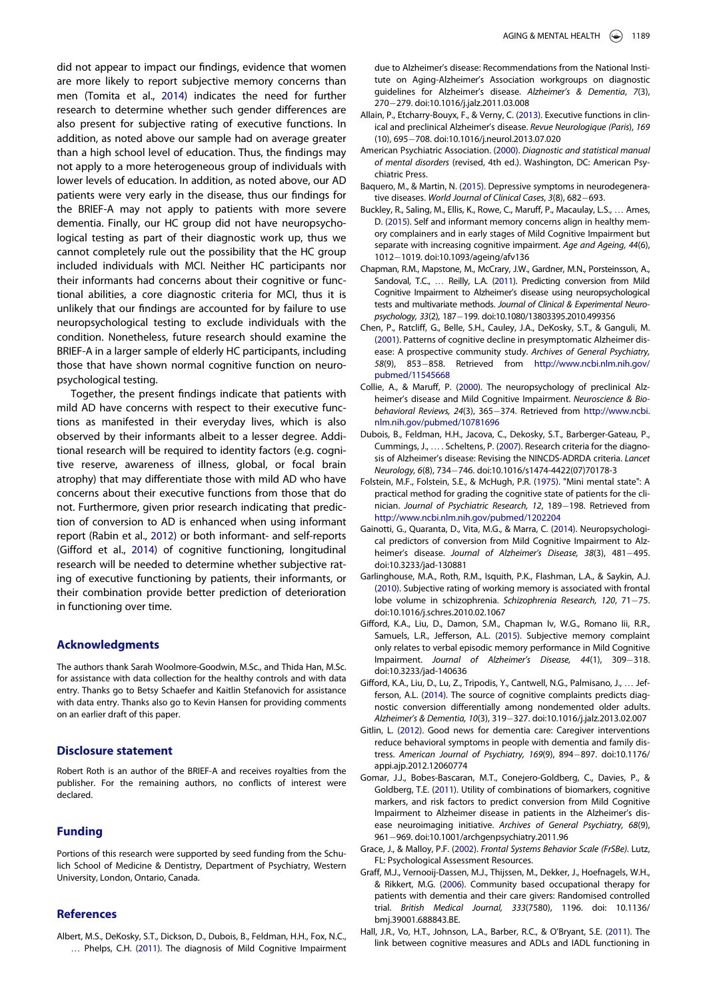<span id="page-6-21"></span><span id="page-6-17"></span><span id="page-6-12"></span><span id="page-6-10"></span><span id="page-6-8"></span>did not appear to impact our findings, evidence that women are more likely to report subjective memory concerns than men (Tomita et al., [2014](#page-8-4)) indicates the need for further research to determine whether such gender differences are also present for subjective rating of executive functions. In addition, as noted above our sample had on average greater than a high school level of education. Thus, the findings may not apply to a more heterogeneous group of individuals with lower levels of education. In addition, as noted above, our AD patients were very early in the disease, thus our findings for the BRIEF-A may not apply to patients with more severe dementia. Finally, our HC group did not have neuropsychological testing as part of their diagnostic work up, thus we cannot completely rule out the possibility that the HC group included individuals with MCI. Neither HC participants nor their informants had concerns about their cognitive or functional abilities, a core diagnostic criteria for MCI, thus it is unlikely that our findings are accounted for by failure to use neuropsychological testing to exclude individuals with the condition. Nonetheless, future research should examine the BRIEF-A in a larger sample of elderly HC participants, including those that have shown normal cognitive function on neuropsychological testing.

<span id="page-6-11"></span><span id="page-6-9"></span><span id="page-6-5"></span><span id="page-6-3"></span><span id="page-6-1"></span>Together, the present findings indicate that patients with mild AD have concerns with respect to their executive functions as manifested in their everyday lives, which is also observed by their informants albeit to a lesser degree. Additional research will be required to identity factors (e.g. cognitive reserve, awareness of illness, global, or focal brain atrophy) that may differentiate those with mild AD who have concerns about their executive functions from those that do not. Furthermore, given prior research indicating that prediction of conversion to AD is enhanced when using informant report (Rabin et al., [2012](#page-7-35)) or both informant- and self-reports (Gifford et al., [2014](#page-6-18)) of cognitive functioning, longitudinal research will be needed to determine whether subjective rating of executive functioning by patients, their informants, or their combination provide better prediction of deterioration in functioning over time.

### <span id="page-6-20"></span><span id="page-6-19"></span><span id="page-6-13"></span><span id="page-6-4"></span><span id="page-6-2"></span>Acknowledgments

<span id="page-6-18"></span>The authors thank Sarah Woolmore-Goodwin, M.Sc., and Thida Han, M.Sc. for assistance with data collection for the healthy controls and with data entry. Thanks go to Betsy Schaefer and Kaitlin Stefanovich for assistance with data entry. Thanks also go to Kevin Hansen for providing comments on an earlier draft of this paper.

### <span id="page-6-15"></span>Disclosure statement

<span id="page-6-6"></span>Robert Roth is an author of the BRIEF-A and receives royalties from the publisher. For the remaining authors, no conflicts of interest were declared.

### Funding

<span id="page-6-16"></span><span id="page-6-7"></span>Portions of this research were supported by seed funding from the Schulich School of Medicine & Dentistry, Department of Psychiatry, Western University, London, Ontario, Canada.

### References

<span id="page-6-14"></span><span id="page-6-0"></span>Albert, M.S., DeKosky, S.T., Dickson, D., Dubois, B., Feldman, H.H., Fox, N.C., … Phelps, C.H. [\(2011\)](#page-1-2). The diagnosis of Mild Cognitive Impairment due to Alzheimer's disease: Recommendations from the National Institute on Aging-Alzheimer's Association workgroups on diagnostic guidelines for Alzheimer's disease. Alzheimer's & Dementia, 7(3), 270279. doi:[10.1016/j.jalz.2011.03.008](http://dx.doi.org/10.1016/j.jalz.2011.03.008)

- Allain, P., Etcharry-Bouyx, F., & Verny, C. ([2013](#page-4-2)). Executive functions in clinical and preclinical Alzheimer's disease. Revue Neurologique (Paris), 169 (10), 695708. doi:[10.1016/j.neurol.2013.07.020](http://dx.doi.org/10.1016/j.neurol.2013.07.020)
- American Psychiatric Association. ([2000](#page-2-0)). Diagnostic and statistical manual of mental disorders (revised, 4th ed.). Washington, DC: American Psychiatric Press.
- Baquero, M., & Martin, N. [\(2015](#page-5-0)). Depressive symptoms in neurodegenerative diseases. World Journal of Clinical Cases, 3(8), 682-693.
- Buckley, R., Saling, M., Ellis, K., Rowe, C., Maruff, P., Macaulay, L.S., … Ames, D. ([2015\)](#page-5-1). Self and informant memory concerns align in healthy memory complainers and in early stages of Mild Cognitive Impairment but separate with increasing cognitive impairment. Age and Ageing, 44(6), 1012-1019. doi:[10.1093/ageing/afv136](http://dx.doi.org/10.1093/ageing/afv136)
- Chapman, R.M., Mapstone, M., McCrary, J.W., Gardner, M.N., Porsteinsson, A., Sandoval, T.C., … Reilly, L.A. ([2011](#page-1-3)). Predicting conversion from Mild Cognitive Impairment to Alzheimer's disease using neuropsychological tests and multivariate methods. Journal of Clinical & Experimental Neuro-psychology, 33(2), 187-199. doi[:10.1080/13803395.2010.499356](http://dx.doi.org/10.1080/13803395.2010.499356)
- Chen, P., Ratcliff, G., Belle, S.H., Cauley, J.A., DeKosky, S.T., & Ganguli, M. ([2001](#page-5-2)). Patterns of cognitive decline in presymptomatic Alzheimer disease: A prospective community study. Archives of General Psychiatry, 58(9), 853-858. Retrieved from [http://www.ncbi.nlm.nih.gov/](http://www.ncbi.nlm.nih.gov/pubmed/11545668) [pubmed/11545668](http://www.ncbi.nlm.nih.gov/pubmed/11545668)
- Collie, A., & Maruff, P. [\(2000\)](#page-1-4). The neuropsychology of preclinical Alzheimer's disease and Mild Cognitive Impairment. Neuroscience & Biobehavioral Reviews, 24(3), 365-374. Retrieved from [http://www.ncbi.](http://www.ncbi.nlm.nih.gov/pubmed/10781696) [nlm.nih.gov/pubmed/10781696](http://www.ncbi.nlm.nih.gov/pubmed/10781696)
- Dubois, B., Feldman, H.H., Jacova, C., Dekosky, S.T., Barberger-Gateau, P., Cummings, J., …. Scheltens, P. [\(2007](#page-1-2)). Research criteria for the diagnosis of Alzheimer's disease: Revising the NINCDS-ADRDA criteria. Lancet Neurology, 6(8), 734-746. doi:[10.1016/s1474-4422\(07\)70178-3](http://dx.doi.org/10.1016/s1474-4422(07)70178-3)
- Folstein, M.F., Folstein, S.E., & McHugh, P.R. ([1975](#page-2-1)). "Mini mental state": A practical method for grading the cognitive state of patients for the clinician. Journal of Psychiatric Research, 12, 189-198. Retrieved from <http://www.ncbi.nlm.nih.gov/pubmed/1202204>
- Gainotti, G., Quaranta, D., Vita, M.G., & Marra, C. [\(2014\)](#page-1-5). Neuropsychological predictors of conversion from Mild Cognitive Impairment to Alzheimer's disease. Journal of Alzheimer's Disease, 38(3), 481-495. doi:[10.3233/jad-130881](http://dx.doi.org/10.3233/jad-130881)
- Garlinghouse, M.A., Roth, R.M., Isquith, P.K., Flashman, L.A., & Saykin, A.J. ([2010](#page-5-3)). Subjective rating of working memory is associated with frontal lobe volume in schizophrenia. Schizophrenia Research, 120, 71-75. doi:[10.1016/j.schres.2010.02.1067](http://dx.doi.org/10.1016/j.schres.2010.02.1067)
- Gifford, K.A., Liu, D., Damon, S.M., Chapman Iv, W.G., Romano Iii, R.R., Samuels, L.R., Jefferson, A.L. [\(2015\)](#page-1-6). Subjective memory complaint only relates to verbal episodic memory performance in Mild Cognitive Impairment. Journal of Alzheimer's Disease, 44(1), 309-318. doi:[10.3233/jad-140636](http://dx.doi.org/10.3233/jad-140636)
- Gifford, K.A., Liu, D., Lu, Z., Tripodis, Y., Cantwell, N.G., Palmisano, J., … Jefferson, A.L. [\(2014](#page-6-19)). The source of cognitive complaints predicts diagnostic conversion differentially among nondemented older adults. Alzheimer's & Dementia, 10(3), 319-327. doi[:10.1016/j.jalz.2013.02.007](http://dx.doi.org/10.1016/j.jalz.2013.02.007)
- Gitlin, L. ([2012](#page-5-4)). Good news for dementia care: Caregiver interventions reduce behavioral symptoms in people with dementia and family dis-tress. American Journal of Psychiatry, 169(9), 894-897. doi:[10.1176/](http://dx.doi.org/10.1176/appi.ajp.2012.12060774) [appi.ajp.2012.12060774](http://dx.doi.org/10.1176/appi.ajp.2012.12060774)
- Gomar, J.J., Bobes-Bascaran, M.T., Conejero-Goldberg, C., Davies, P., & Goldberg, T.E. [\(2011](#page-1-7)). Utility of combinations of biomarkers, cognitive markers, and risk factors to predict conversion from Mild Cognitive Impairment to Alzheimer disease in patients in the Alzheimer's disease neuroimaging initiative. Archives of General Psychiatry, 68(9), 961-969. doi:[10.1001/archgenpsychiatry.2011.96](http://dx.doi.org/10.1001/archgenpsychiatry.2011.96)
- Grace, J., & Malloy, P.F. ([2002](#page-1-8)). Frontal Systems Behavior Scale (FrSBe). Lutz, FL: Psychological Assessment Resources.
- Graff, M.J., Vernooij-Dassen, M.J., Thijssen, M., Dekker, J., Hoefnagels, W.H., & Rikkert, M.G. ([2006\)](#page-5-5). Community based occupational therapy for patients with dementia and their care givers: Randomised controlled trial. British Medical Journal, 333(7580), 1196. doi: [10.1136/](http://dx.doi.org/10.1136/bmj.39001.688843.BE.<qry id=) [bmj.39001.688843.BE.](http://dx.doi.org/10.1136/bmj.39001.688843.BE.<qry id=)
- Hall, J.R., Vo, H.T., Johnson, L.A., Barber, R.C., & O'Bryant, S.E. [\(2011](#page-5-6)). The link between cognitive measures and ADLs and IADL functioning in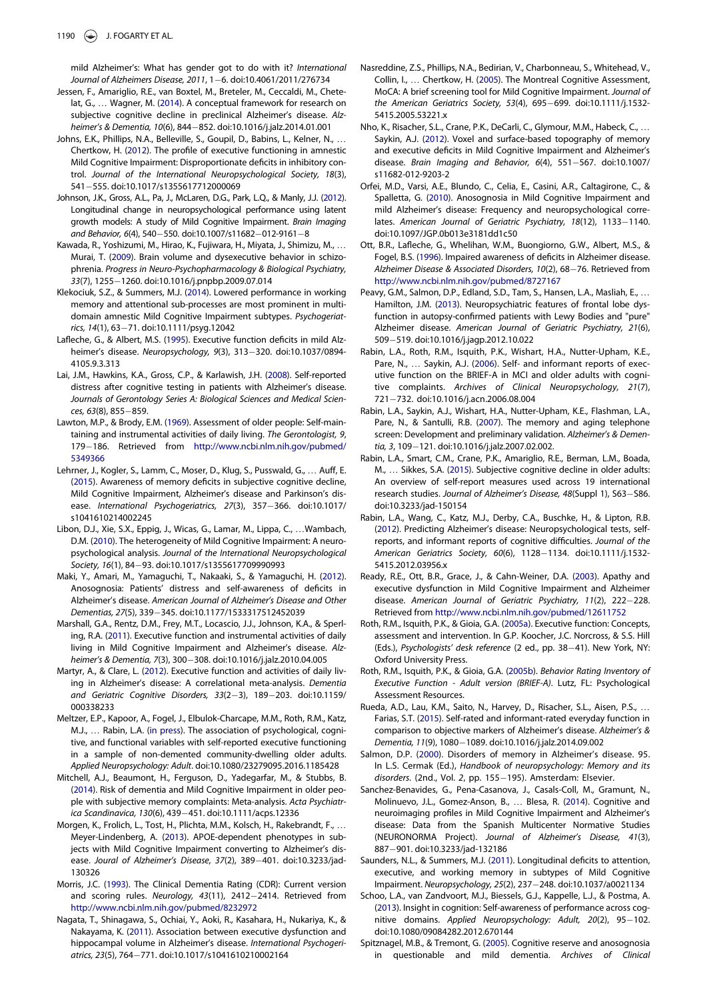mild Alzheimer's: What has gender got to do with it? International Journal of Alzheimers Disease, 2011, 1-6. doi[:10.4061/2011/276734](http://dx.doi.org/10.4061/2011/276734)

- <span id="page-7-22"></span><span id="page-7-0"></span>Jessen, F., Amariglio, R.E., van Boxtel, M., Breteler, M., Ceccaldi, M., Chetelat, G., … Wagner, M. ([2014](#page-1-9)). A conceptual framework for research on subjective cognitive decline in preclinical Alzheimer's disease. Alz-heimer's & Dementia, 10(6), 844-852. doi[:10.1016/j.jalz.2014.01.001](http://dx.doi.org/10.1016/j.jalz.2014.01.001)
- <span id="page-7-13"></span><span id="page-7-7"></span>Johns, E.K., Phillips, N.A., Belleville, S., Goupil, D., Babins, L., Kelner, N., … Chertkow, H. [\(2012\)](#page-1-10). The profile of executive functioning in amnestic Mild Cognitive Impairment: Disproportionate deficits in inhibitory control. Journal of the International Neuropsychological Society, 18(3), 541-555. doi:[10.1017/s1355617712000069](http://dx.doi.org/10.1017/s1355617712000069)
- <span id="page-7-20"></span><span id="page-7-4"></span>Johnson, J.K., Gross, A.L., Pa, J., McLaren, D.G., Park, L.Q., & Manly, J.J. [\(2012](#page-1-11)). Longitudinal change in neuropsychological performance using latent growth models: A study of Mild Cognitive Impairment. Brain Imaging and Behavior, 6(4), 540-550. doi:[10.1007/s11682](http://dx.doi.org/10.1007/s11682--012-9161--8)-[012-9161](http://dx.doi.org/10.1007/s11682--012-9161--8)-[8](http://dx.doi.org/10.1007/s11682--012-9161--8)
- <span id="page-7-31"></span><span id="page-7-27"></span>Kawada, R., Yoshizumi, M., Hirao, K., Fujiwara, H., Miyata, J., Shimizu, M., … Murai, T. [\(2009](#page-5-7)). Brain volume and dysexecutive behavior in schizophrenia. Progress in Neuro-Psychopharmacology & Biological Psychiatry, 33(7), 1255-1260. doi:[10.1016/j.pnpbp.2009.07.014](http://dx.doi.org/10.1016/j.pnpbp.2009.07.014)
- <span id="page-7-25"></span><span id="page-7-16"></span>Klekociuk, S.Z., & Summers, M.J. ([2014\)](#page-5-8). Lowered performance in working memory and attentional sub-processes are most prominent in multidomain amnestic Mild Cognitive Impairment subtypes. Psychogeriat-rics, 14(1), 63-71. doi:[10.1111/psyg.12042](http://dx.doi.org/10.1111/psyg.12042)
- <span id="page-7-26"></span><span id="page-7-17"></span>Lafleche, G., & Albert, M.S. [\(1995](#page-5-8)). Executive function deficits in mild Alz-heimer's disease. Neuropsychology, 9(3), 313-320. doi[:10.1037/0894-](http://dx.doi.org/10.1037/0894-4105.9.3.313) [4105.9.3.313](http://dx.doi.org/10.1037/0894-4105.9.3.313)
- <span id="page-7-34"></span>Lai, J.M., Hawkins, K.A., Gross, C.P., & Karlawish, J.H. ([2008\)](#page-5-9). Self-reported distress after cognitive testing in patients with Alzheimer's disease. Journals of Gerontology Series A: Biological Sciences and Medical Sciences, 63(8), 855-859.
- <span id="page-7-23"></span><span id="page-7-21"></span>Lawton, M.P., & Brody, E.M. ([1969](#page-2-2)). Assessment of older people: Self-maintaining and instrumental activities of daily living. The Gerontologist, 9, 179-186. Retrieved from [http://www.ncbi.nlm.nih.gov/pubmed/](http://www.ncbi.nlm.nih.gov/pubmed/5349366) [5349366](http://www.ncbi.nlm.nih.gov/pubmed/5349366)
- <span id="page-7-19"></span><span id="page-7-1"></span>Lehrner, J., Kogler, S., Lamm, C., Moser, D., Klug, S., Pusswald, G., … Auff, E. ([2015](#page-2-3)). Awareness of memory deficits in subjective cognitive decline, Mild Cognitive Impairment, Alzheimer's disease and Parkinson's dis-ease. International Psychogeriatrics, 27(3), 357-366. doi[:10.1017/](http://dx.doi.org/10.1017/s1041610214002245) [s1041610214002245](http://dx.doi.org/10.1017/s1041610214002245)
- <span id="page-7-35"></span><span id="page-7-5"></span>Libon, D.J., Xie, S.X., Eppig, J., Wicas, G., Lamar, M., Lippa, C., …Wambach, D.M. ([2010\)](#page-1-11). The heterogeneity of Mild Cognitive Impairment: A neuropsychological analysis. Journal of the International Neuropsychological Society, 16(1), 84-93. doi[:10.1017/s1355617709990993](http://dx.doi.org/10.1017/s1355617709990993)
- <span id="page-7-33"></span><span id="page-7-15"></span>Maki, Y., Amari, M., Yamaguchi, T., Nakaaki, S., & Yamaguchi, H. ([2012\)](#page-5-10). Anosognosia: Patients' distress and self-awareness of deficits in Alzheimer's disease. American Journal of Alzheimer's Disease and Other Dementias, 27(5), 339-345. doi[:10.1177/1533317512452039](http://dx.doi.org/10.1177/1533317512452039)
- <span id="page-7-10"></span><span id="page-7-8"></span>Marshall, G.A., Rentz, D.M., Frey, M.T., Locascio, J.J., Johnson, K.A., & Sperling, R.A. ([2011](#page-1-12)). Executive function and instrumental activities of daily living in Mild Cognitive Impairment and Alzheimer's disease. Alz-heimer's & Dementia, 7(3), 300-308. doi[:10.1016/j.jalz.2010.04.005](http://dx.doi.org/10.1016/j.jalz.2010.04.005)
- <span id="page-7-18"></span><span id="page-7-14"></span>Martyr, A., & Clare, L. ([2012\)](#page-1-12). Executive function and activities of daily living in Alzheimer's disease: A correlational meta-analysis. Dementia and Geriatric Cognitive Disorders,  $33(2-3)$ , 189-203. doi[:10.1159/](http://dx.doi.org/10.1159/000338233) [000338233](http://dx.doi.org/10.1159/000338233)
- <span id="page-7-32"></span><span id="page-7-28"></span>Meltzer, E.P., Kapoor, A., Fogel, J., Elbulok-Charcape, M.M., Roth, R.M., Katz, M.J., … Rabin, L.A. [\(in press](#page-5-11)). The association of psychological, cognitive, and functional variables with self-reported executive functioning in a sample of non-demented community-dwelling older adults. Applied Neuropsychology: Adult. doi:[10.1080/23279095.2016.1185428](http://dx.doi.org/10.1080/23279095.2016.1185428)
- <span id="page-7-6"></span><span id="page-7-3"></span><span id="page-7-2"></span>Mitchell, A.J., Beaumont, H., Ferguson, D., Yadegarfar, M., & Stubbs, B. ([2014](#page-1-13)). Risk of dementia and Mild Cognitive Impairment in older people with subjective memory complaints: Meta-analysis. Acta Psychiatrica Scandinavica, 130(6), 439451. doi:[10.1111/acps.12336](http://dx.doi.org/10.1111/acps.12336)
- <span id="page-7-11"></span>Morgen, K., Frolich, L., Tost, H., Plichta, M.M., Kolsch, H., Rakebrandt, F., … Meyer-Lindenberg, A. ([2013](#page-1-14)). APOE-dependent phenotypes in subjects with Mild Cognitive Impairment converting to Alzheimer's dis-ease. Joural of Alzheimer's Disease, 37(2), 389-401. doi[:10.3233/jad-](http://dx.doi.org/10.3233/jad-130326)[130326](http://dx.doi.org/10.3233/jad-130326)
- <span id="page-7-29"></span><span id="page-7-24"></span><span id="page-7-9"></span>Morris, J.C. ([1993\)](#page-2-4). The Clinical Dementia Rating (CDR): Current version and scoring rules. Neurology, 43(11), 2412-2414. Retrieved from <http://www.ncbi.nlm.nih.gov/pubmed/8232972>
- <span id="page-7-30"></span><span id="page-7-12"></span>Nagata, T., Shinagawa, S., Ochiai, Y., Aoki, R., Kasahara, H., Nukariya, K., & Nakayama, K. ([2011](#page-1-14)). Association between executive dysfunction and hippocampal volume in Alzheimer's disease. International Psychogeri-atrics, 23(5), 764-771. doi[:10.1017/s1041610210002164](http://dx.doi.org/10.1017/s1041610210002164)
- Nasreddine, Z.S., Phillips, N.A., Bedirian, V., Charbonneau, S., Whitehead, V., Collin, I., … Chertkow, H. [\(2005\)](#page-2-5). The Montreal Cognitive Assessment, MoCA: A brief screening tool for Mild Cognitive Impairment. Journal of the American Geriatrics Society, 53(4), 695-699. doi:[10.1111/j.1532-](http://dx.doi.org/10.1111/j.1532-5415.2005.53221.x) [5415.2005.53221.x](http://dx.doi.org/10.1111/j.1532-5415.2005.53221.x)
- Nho, K., Risacher, S.L., Crane, P.K., DeCarli, C., Glymour, M.M., Habeck, C., … Saykin, A.J. ([2012](#page-1-14)). Voxel and surface-based topography of memory and executive deficits in Mild Cognitive Impairment and Alzheimer's disease. Brain Imaging and Behavior,  $6(4)$ , 551-567. doi:[10.1007/](http://dx.doi.org/10.1007/s11682-012-9203-2) [s11682-012-9203-2](http://dx.doi.org/10.1007/s11682-012-9203-2)
- Orfei, M.D., Varsi, A.E., Blundo, C., Celia, E., Casini, A.R., Caltagirone, C., & Spalletta, G. [\(2010\)](#page-2-6). Anosognosia in Mild Cognitive Impairment and mild Alzheimer's disease: Frequency and neuropsychological correlates. American Journal of Geriatric Psychiatry, 18(12), 1133-1140. doi:[10.1097/JGP.0b013e3181dd1c50](http://dx.doi.org/10.1097/JGP.0b013e3181dd1c50)
- Ott, B.R., Lafleche, G., Whelihan, W.M., Buongiorno, G.W., Albert, M.S., & Fogel, B.S. [\(1996](#page-5-12)). Impaired awareness of deficits in Alzheimer disease. Alzheimer Disease & Associated Disorders, 10(2), 68-76. Retrieved from <http://www.ncbi.nlm.nih.gov/pubmed/8727167>
- Peavy, G.M., Salmon, D.P., Edland, S.D., Tam, S., Hansen, L.A., Masliah, E., … Hamilton, J.M. ([2013\)](#page-1-15). Neuropsychiatric features of frontal lobe dysfunction in autopsy-confirmed patients with Lewy Bodies and "pure" Alzheimer disease. American Journal of Geriatric Psychiatry, 21(6), 509519. doi:[10.1016/j.jagp.2012.10.022](http://dx.doi.org/10.1016/j.jagp.2012.10.022)
- Rabin, L.A., Roth, R.M., Isquith, P.K., Wishart, H.A., Nutter-Upham, K.E., Pare, N., ... Saykin, A.J. ([2006](#page-1-16)). Self- and informant reports of executive function on the BRIEF-A in MCI and older adults with cognitive complaints. Archives of Clinical Neuropsychology, 21(7), 721732. doi:[10.1016/j.acn.2006.08.004](http://dx.doi.org/10.1016/j.acn.2006.08.004)
- Rabin, L.A., Saykin, A.J., Wishart, H.A., Nutter-Upham, K.E., Flashman, L.A., Pare, N., & Santulli, R.B. [\(2007\)](#page-2-7). The memory and aging telephone screen: Development and preliminary validation. Alzheimer's & Demen-tia, 3, 109-121. doi:[10.1016/j.jalz.2007.02.002.](http://dx.doi.org/10.1016/j.jalz.2007.02.002)
- Rabin, L.A., Smart, C.M., Crane, P.K., Amariglio, R.E., Berman, L.M., Boada, M., … Sikkes, S.A. ([2015\)](#page-1-6). Subjective cognitive decline in older adults: An overview of self-report measures used across 19 international research studies. Journal of Alzheimer's Disease, 48(Suppl 1), S63-S86. doi:[10.3233/jad-150154](http://dx.doi.org/10.3233/jad-150154)
- Rabin, L.A., Wang, C., Katz, M.J., Derby, C.A., Buschke, H., & Lipton, R.B. ([2012](#page-6-20)). Predicting Alzheimer's disease: Neuropsychological tests, selfreports, and informant reports of cognitive difficulties. Journal of the American Geriatrics Society, 60(6), 1128-1134. doi:[10.1111/j.1532-](http://dx.doi.org/10.1111/j.1532-5415.2012.03956.x) [5415.2012.03956.x](http://dx.doi.org/10.1111/j.1532-5415.2012.03956.x)
- Ready, R.E., Ott, B.R., Grace, J., & Cahn-Weiner, D.A. [\(2003\)](#page-1-17). Apathy and executive dysfunction in Mild Cognitive Impairment and Alzheimer disease. American Journal of Geriatric Psychiatry, 11(2), 222-228. Retrieved from <http://www.ncbi.nlm.nih.gov/pubmed/12611752>
- Roth, R.M., Isquith, P.K., & Gioia, G.A. ([2005a\)](#page-1-18). Executive function: Concepts, assessment and intervention. In G.P. Koocher, J.C. Norcross, & S.S. Hill (Eds.), Psychologists' desk reference (2 ed., pp. 38-41). New York, NY: Oxford University Press.
- Roth, R.M., Isquith, P.K., & Gioia, G.A. [\(2005b](#page-1-19)). Behavior Rating Inventory of Executive Function - Adult version (BRIEF-A). Lutz, FL: Psychological Assessment Resources.
- Rueda, A.D., Lau, K.M., Saito, N., Harvey, D., Risacher, S.L., Aisen, P.S., … Farias, S.T. ([2015\)](#page-5-13). Self-rated and informant-rated everyday function in comparison to objective markers of Alzheimer's disease. Alzheimer's & Dementia, 11(9), 1080-1089. doi[:10.1016/j.jalz.2014.09.002](http://dx.doi.org/10.1016/j.jalz.2014.09.002)
- Salmon, D.P. ([2000\)](#page-1-5). Disorders of memory in Alzheimer's disease. 95. In L.S. Cermak (Ed.), Handbook of neuropsychology: Memory and its disorders. (2nd., Vol. 2, pp. 155-195). Amsterdam: Elsevier.
- Sanchez-Benavides, G., Pena-Casanova, J., Casals-Coll, M., Gramunt, N., Molinuevo, J.L., Gomez-Anson, B., … Blesa, R. ([2014\)](#page-1-20). Cognitive and neuroimaging profiles in Mild Cognitive Impairment and Alzheimer's disease: Data from the Spanish Multicenter Normative Studies (NEURONORMA Project). Journal of Alzheimer's Disease, 41(3), 887-901. doi:[10.3233/jad-132186](http://dx.doi.org/10.3233/jad-132186)
- Saunders, N.L., & Summers, M.J. ([2011\)](#page-1-10). Longitudinal deficits to attention, executive, and working memory in subtypes of Mild Cognitive Impairment. Neuropsychology, 25(2), 237-248. doi[:10.1037/a0021134](http://dx.doi.org/10.1037/a0021134)
- Schoo, L.A., van Zandvoort, M.J., Biessels, G.J., Kappelle, L.J., & Postma, A. ([2013](#page-5-14)). Insight in cognition: Self-awareness of performance across cognitive domains. Applied Neuropsychology: Adult,  $20(2)$ ,  $95-102$ . doi:[10.1080/09084282.2012.670144](http://dx.doi.org/10.1080/09084282.2012.670144)
- Spitznagel, M.B., & Tremont, G. [\(2005](#page-5-15)). Cognitive reserve and anosognosia in questionable and mild dementia. Archives of Clinical